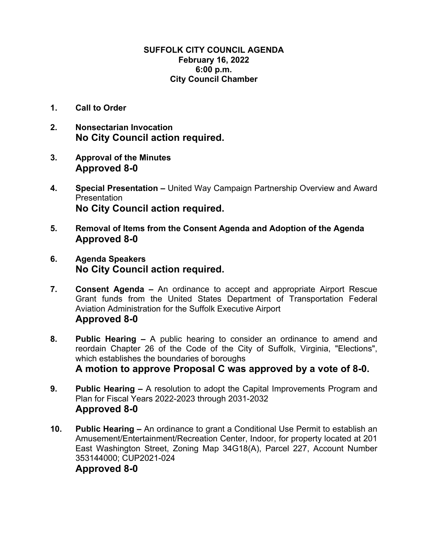## **SUFFOLK CITY COUNCIL AGENDA February 16, 2022 6:00 p.m. City Council Chamber**

- **1. Call to Order**
- **2. Nonsectarian Invocation No City Council action required.**
- **3. Approval of the Minutes Approved 8-0**
- **4. Special Presentation** United Way Campaign Partnership Overview and Award **Presentation No City Council action required.**
- **5. Removal of Items from the Consent Agenda and Adoption of the Agenda Approved 8-0**
- **6. Agenda Speakers No City Council action required.**
- **7. Consent Agenda** An ordinance to accept and appropriate Airport Rescue Grant funds from the United States Department of Transportation Federal Aviation Administration for the Suffolk Executive Airport **Approved 8-0**
- **8. Public Hearing –** A public hearing to consider an ordinance to amend and reordain Chapter 26 of the Code of the City of Suffolk, Virginia, "Elections", which establishes the boundaries of boroughs **A motion to approve Proposal C was approved by a vote of 8-0.**
- **9. Public Hearing** A resolution to adopt the Capital Improvements Program and Plan for Fiscal Years 2022-2023 through 2031-2032 **Approved 8-0**
- **10. Public Hearing** An ordinance to grant a Conditional Use Permit to establish an Amusement/Entertainment/Recreation Center, Indoor, for property located at 201 East Washington Street, Zoning Map 34G18(A), Parcel 227, Account Number 353144000; CUP2021-024

## **Approved 8-0**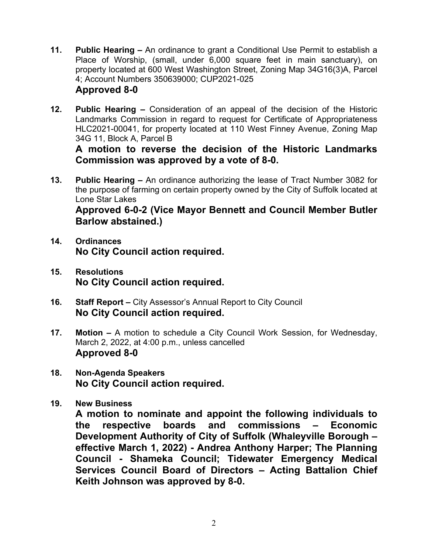- **11. Public Hearing** An ordinance to grant a Conditional Use Permit to establish a Place of Worship, (small, under 6,000 square feet in main sanctuary), on property located at 600 West Washington Street, Zoning Map 34G16(3)A, Parcel 4; Account Numbers 350639000; CUP2021-025 **Approved 8-0**
- **12. Public Hearing** Consideration of an appeal of the decision of the Historic Landmarks Commission in regard to request for Certificate of Appropriateness HLC2021-00041, for property located at 110 West Finney Avenue, Zoning Map 34G 11, Block A, Parcel B

**A motion to reverse the decision of the Historic Landmarks Commission was approved by a vote of 8-0.** 

**13. Public Hearing –** An ordinance authorizing the lease of Tract Number 3082 for the purpose of farming on certain property owned by the City of Suffolk located at Lone Star Lakes

**Approved 6-0-2 (Vice Mayor Bennett and Council Member Butler Barlow abstained.)** 

- **14. Ordinances No City Council action required.**
- **15. Resolutions No City Council action required.**
- **16. Staff Report** City Assessor's Annual Report to City Council **No City Council action required.**
- **17. Motion** A motion to schedule a City Council Work Session, for Wednesday, March 2, 2022, at 4:00 p.m., unless cancelled **Approved 8-0**
- **18. Non-Agenda Speakers No City Council action required.**
- **19. New Business**

**A motion to nominate and appoint the following individuals to the respective boards and commissions – Economic Development Authority of City of Suffolk (Whaleyville Borough – effective March 1, 2022) - Andrea Anthony Harper; The Planning Council - Shameka Council; Tidewater Emergency Medical Services Council Board of Directors – Acting Battalion Chief Keith Johnson was approved by 8-0.**